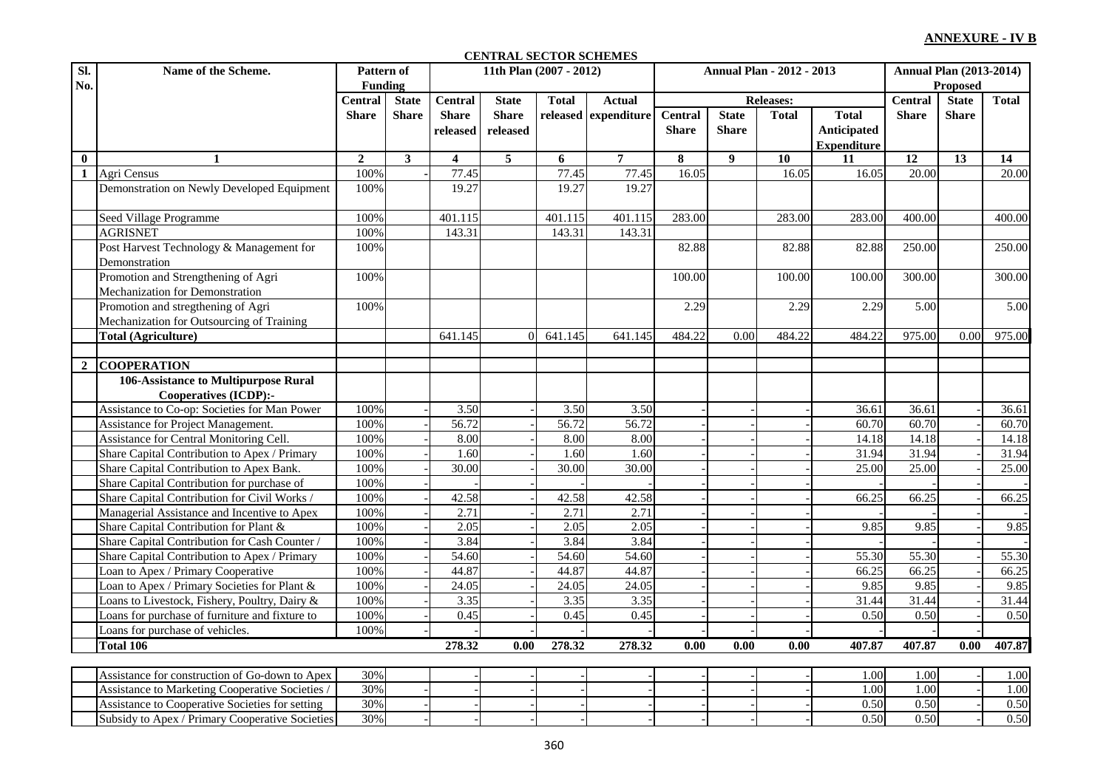## **ANNEXURE - IV B**

## **CENTRAL SECTOR SCHEMES**

| SI.              | Name of the Scheme.                             | Pattern of     |              |                         | 11th Plan (2007 - 2012) |              |                      |                  | <b>Annual Plan - 2012 - 2013</b> | <b>Annual Plan (2013-2014)</b> |                    |              |              |                   |
|------------------|-------------------------------------------------|----------------|--------------|-------------------------|-------------------------|--------------|----------------------|------------------|----------------------------------|--------------------------------|--------------------|--------------|--------------|-------------------|
| No.              |                                                 | <b>Funding</b> |              |                         |                         |              |                      |                  |                                  |                                | <b>Proposed</b>    |              |              |                   |
|                  |                                                 | <b>Central</b> | <b>State</b> | <b>Central</b>          | <b>State</b>            | <b>Total</b> | <b>Actual</b>        | <b>Releases:</b> |                                  |                                | <b>Central</b>     | <b>State</b> | <b>Total</b> |                   |
|                  |                                                 | <b>Share</b>   | <b>Share</b> | <b>Share</b>            | <b>Share</b>            |              | released expenditure | <b>Central</b>   | <b>State</b>                     | <b>Total</b>                   | <b>Total</b>       | <b>Share</b> | <b>Share</b> |                   |
|                  |                                                 |                |              | released                | released                |              |                      | <b>Share</b>     | <b>Share</b>                     |                                | <b>Anticipated</b> |              |              |                   |
|                  |                                                 |                |              |                         |                         |              |                      |                  |                                  |                                | <b>Expenditure</b> |              |              |                   |
| $\bf{0}$         | $\mathbf{1}$                                    | $\overline{2}$ | $\mathbf{3}$ | $\overline{\mathbf{4}}$ | 5                       | 6            | $\overline{7}$       | 8                | $\boldsymbol{9}$                 | 10                             | 11                 | 12           | 13           | 14                |
| 1                | Agri Census                                     | 100%           |              | 77.45                   |                         | 77.45        | 77.45                | 16.05            |                                  | 16.05                          | 16.05              | 20.00        |              | 20.00             |
|                  | Demonstration on Newly Developed Equipment      | 100%           |              | 19.27                   |                         | 19.27        | 19.27                |                  |                                  |                                |                    |              |              |                   |
|                  | Seed Village Programme                          | 100%           |              | 401.115                 |                         | 401.115      | 401.115              | 283.00           |                                  | 283.00                         | 283.00             | 400.00       |              | 400.00            |
|                  | <b>AGRISNET</b>                                 | 100%           |              | 143.31                  |                         | 143.31       | 143.31               |                  |                                  |                                |                    |              |              |                   |
|                  | Post Harvest Technology & Management for        | 100%           |              |                         |                         |              |                      | 82.88            |                                  | 82.88                          | 82.88              | 250.00       |              | 250.00            |
|                  | Demonstration                                   |                |              |                         |                         |              |                      |                  |                                  |                                |                    |              |              |                   |
|                  | Promotion and Strengthening of Agri             | 100%           |              |                         |                         |              |                      | 100.00           |                                  | 100.00                         | 100.00             | 300.00       |              | 300.00            |
|                  | Mechanization for Demonstration                 |                |              |                         |                         |              |                      |                  |                                  |                                |                    |              |              |                   |
|                  | Promotion and stregthening of Agri              | 100%           |              |                         |                         |              |                      | 2.29             |                                  | 2.29                           | 2.29               | 5.00         |              | $\overline{5.00}$ |
|                  | Mechanization for Outsourcing of Training       |                |              |                         |                         |              |                      |                  |                                  |                                |                    |              |              |                   |
|                  | <b>Total (Agriculture)</b>                      |                |              | 641.145                 | $\Omega$                | 641.145      | 641.145              | 484.22           | 0.00                             | 484.22                         | 484.22             | 975.00       | 0.00         | 975.00            |
|                  |                                                 |                |              |                         |                         |              |                      |                  |                                  |                                |                    |              |              |                   |
|                  | 2 COOPERATION                                   |                |              |                         |                         |              |                      |                  |                                  |                                |                    |              |              |                   |
|                  | 106-Assistance to Multipurpose Rural            |                |              |                         |                         |              |                      |                  |                                  |                                |                    |              |              |                   |
|                  | Cooperatives (ICDP):-                           |                |              |                         |                         |              |                      |                  |                                  |                                |                    |              |              |                   |
|                  | Assistance to Co-op: Societies for Man Power    | 100%           |              | 3.50                    |                         | 3.50         | 3.50                 |                  |                                  |                                | 36.61              | 36.61        |              | 36.61             |
|                  | Assistance for Project Management.              | 100%           |              | 56.72                   |                         | 56.72        | 56.72                |                  |                                  |                                | 60.70              | 60.70        |              | 60.70             |
|                  | Assistance for Central Monitoring Cell.         | 100%           |              | 8.00                    |                         | 8.00         | 8.00                 |                  |                                  |                                | 14.18              | 14.18        |              | 14.18             |
|                  | Share Capital Contribution to Apex / Primary    | 100%           |              | 1.60                    |                         | 1.60         | 1.60                 |                  |                                  |                                | 31.94              | 31.94        |              | 31.94             |
|                  | Share Capital Contribution to Apex Bank.        | 100%           |              | 30.00                   |                         | 30.00        | 30.00                |                  |                                  |                                | 25.00              | 25.00        |              | 25.00             |
|                  | Share Capital Contribution for purchase of      | 100%           |              |                         |                         |              |                      |                  |                                  |                                |                    |              |              |                   |
|                  | Share Capital Contribution for Civil Works      | 100%           |              | 42.58                   |                         | 42.58        | 42.58                |                  |                                  |                                | 66.25              | 66.25        |              | 66.25             |
|                  | Managerial Assistance and Incentive to Apex     | 100%           |              | 2.71                    |                         | 2.71         | 2.71                 |                  |                                  |                                |                    |              |              |                   |
|                  | Share Capital Contribution for Plant &          | 100%           |              | 2.05                    |                         | 2.05         | 2.05                 |                  |                                  |                                | 9.85               | 9.85         |              | 9.85              |
|                  | Share Capital Contribution for Cash Counter /   | 100%           |              | 3.84                    |                         | 3.84         | 3.84                 |                  |                                  |                                |                    |              |              |                   |
|                  | Share Capital Contribution to Apex / Primary    | 100%           |              | 54.60                   |                         | 54.60        | 54.60                |                  |                                  |                                | 55.30              | 55.30        |              | 55.30             |
|                  | Loan to Apex / Primary Cooperative              | 100%           |              | 44.87                   |                         | 44.87        | 44.87                |                  |                                  |                                | 66.25              | 66.25        |              | 66.25             |
|                  | Loan to Apex / Primary Societies for Plant &    | 100%           |              | 24.05                   |                         | 24.05        | 24.05                |                  |                                  |                                | 9.85               | 9.85         |              | 9.85              |
|                  | Loans to Livestock, Fishery, Poultry, Dairy &   | 100%           |              | 3.35                    |                         | 3.35         | 3.35                 |                  |                                  |                                | 31.44              | 31.44        |              | 31.44             |
|                  | Loans for purchase of furniture and fixture to  | 100%           |              | 0.45                    |                         | 0.45         | 0.45                 |                  |                                  |                                | 0.50               | 0.50         |              | 0.50              |
|                  | Loans for purchase of vehicles.                 | 100%           |              |                         |                         |              |                      |                  |                                  |                                |                    |              |              |                   |
| <b>Total 106</b> |                                                 |                |              | 278.32                  | 0.00                    | 278.32       | 278.32               | 0.00             | 0.00                             | 0.00                           | 407.87             | 407.87       | 0.00         | 407.87            |
|                  | Assistance for construction of Go-down to Apex  | 30%            |              |                         |                         |              |                      |                  |                                  |                                | 1.00               | 1.00         |              | 1.00              |
|                  | Assistance to Marketing Cooperative Societies   | 30%            |              |                         |                         |              |                      |                  |                                  |                                | 1.00               | 1.00         |              | 1.00              |
|                  | Assistance to Cooperative Societies for setting | 30%            |              |                         |                         |              |                      |                  |                                  |                                | 0.50               | 0.50         |              | 0.50              |
|                  | Subsidy to Apex / Primary Cooperative Societies | 30%            |              |                         |                         |              |                      |                  |                                  |                                | 0.50               | 0.50         |              | 0.50              |